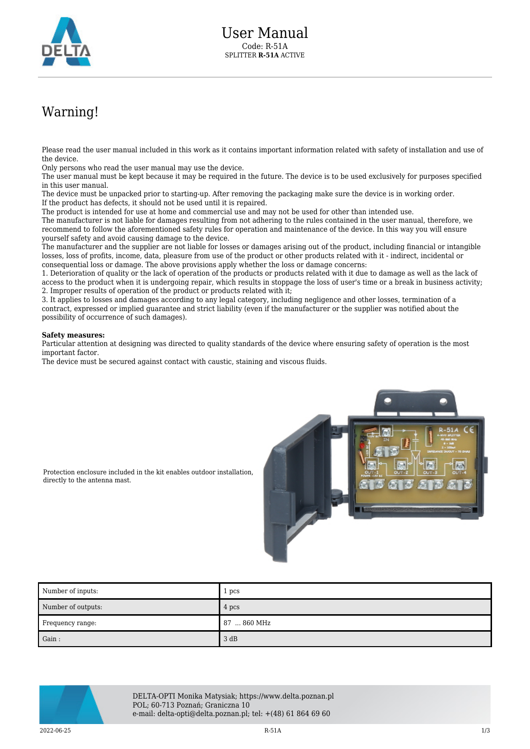

## Warning!

Please read the user manual included in this work as it contains important information related with safety of installation and use of the device.

Only persons who read the user manual may use the device.

The user manual must be kept because it may be required in the future. The device is to be used exclusively for purposes specified in this user manual.

The device must be unpacked prior to starting-up. After removing the packaging make sure the device is in working order. If the product has defects, it should not be used until it is repaired.

The product is intended for use at home and commercial use and may not be used for other than intended use.

The manufacturer is not liable for damages resulting from not adhering to the rules contained in the user manual, therefore, we recommend to follow the aforementioned safety rules for operation and maintenance of the device. In this way you will ensure yourself safety and avoid causing damage to the device.

The manufacturer and the supplier are not liable for losses or damages arising out of the product, including financial or intangible losses, loss of profits, income, data, pleasure from use of the product or other products related with it - indirect, incidental or consequential loss or damage. The above provisions apply whether the loss or damage concerns:

1. Deterioration of quality or the lack of operation of the products or products related with it due to damage as well as the lack of access to the product when it is undergoing repair, which results in stoppage the loss of user's time or a break in business activity; 2. Improper results of operation of the product or products related with it;

3. It applies to losses and damages according to any legal category, including negligence and other losses, termination of a contract, expressed or implied guarantee and strict liability (even if the manufacturer or the supplier was notified about the possibility of occurrence of such damages).

## **Safety measures:**

Particular attention at designing was directed to quality standards of the device where ensuring safety of operation is the most important factor.

The device must be secured against contact with caustic, staining and viscous fluids.



Protection enclosure included in the kit enables outdoor installation, directly to the antenna mast.

| Number of inputs:  | 1 pcs       |
|--------------------|-------------|
| Number of outputs: | 4 pcs       |
| Frequency range:   | 87  860 MHz |
| $\vert$ Gain :     | 3 dB        |



DELTA-OPTI Monika Matysiak; https://www.delta.poznan.pl POL; 60-713 Poznań; Graniczna 10 e-mail: delta-opti@delta.poznan.pl; tel: +(48) 61 864 69 60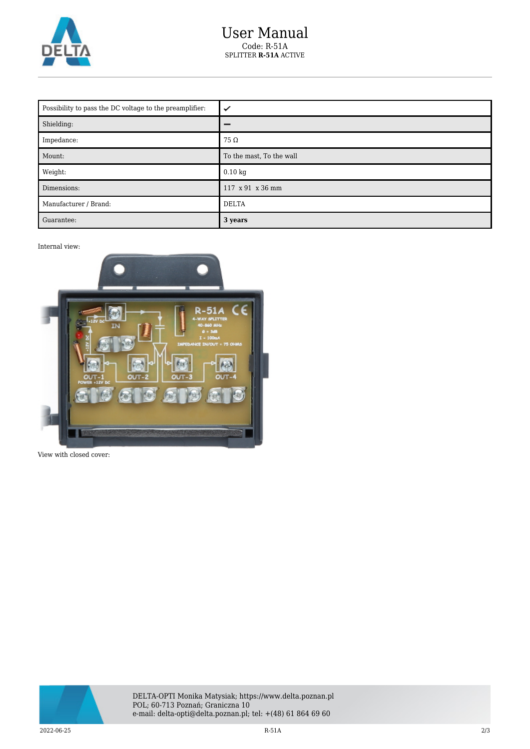

| Possibility to pass the DC voltage to the preamplifier: | ✓                        |
|---------------------------------------------------------|--------------------------|
| Shielding:                                              |                          |
| Impedance:                                              | 75 Ω                     |
| Mount:                                                  | To the mast, To the wall |
| Weight:                                                 | $0.10 \text{ kg}$        |
| Dimensions:                                             | 117 x 91 x 36 mm         |
| Manufacturer / Brand:                                   | <b>DELTA</b>             |
| Guarantee:                                              | 3 years                  |

Internal view:



View with closed cover: